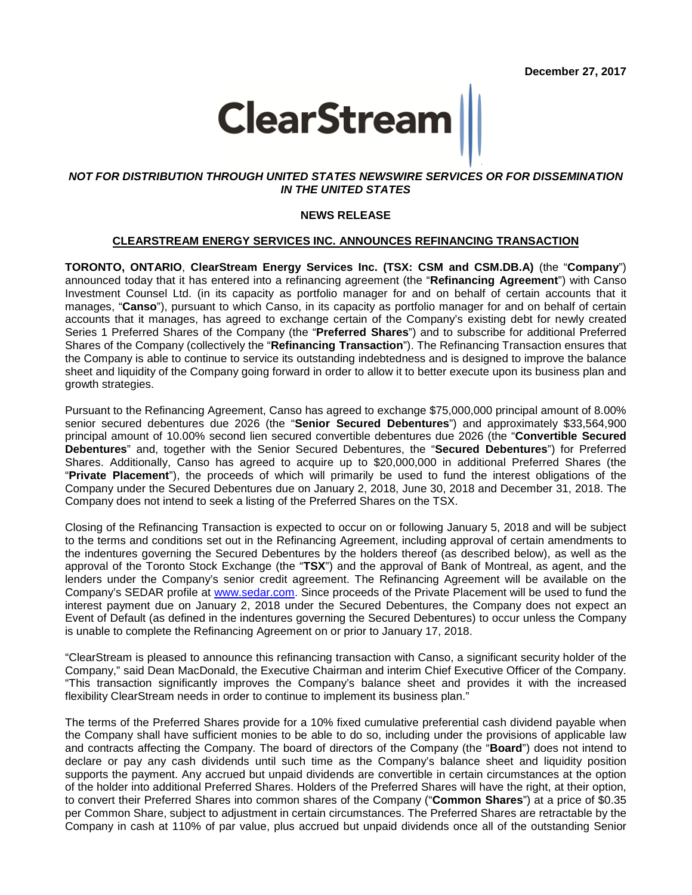

# *NOT FOR DISTRIBUTION THROUGH UNITED STATES NEWSWIRE SERVICES OR FOR DISSEMINATION IN THE UNITED STATES*

### **NEWS RELEASE**

#### **CLEARSTREAM ENERGY SERVICES INC. ANNOUNCES REFINANCING TRANSACTION**

**TORONTO, ONTARIO**, **ClearStream Energy Services Inc. (TSX: CSM and CSM.DB.A)** (the "**Company**") announced today that it has entered into a refinancing agreement (the "**Refinancing Agreement**") with Canso Investment Counsel Ltd. (in its capacity as portfolio manager for and on behalf of certain accounts that it manages, "**Canso**"), pursuant to which Canso, in its capacity as portfolio manager for and on behalf of certain accounts that it manages, has agreed to exchange certain of the Company's existing debt for newly created Series 1 Preferred Shares of the Company (the "**Preferred Shares**") and to subscribe for additional Preferred Shares of the Company (collectively the "**Refinancing Transaction**"). The Refinancing Transaction ensures that the Company is able to continue to service its outstanding indebtedness and is designed to improve the balance sheet and liquidity of the Company going forward in order to allow it to better execute upon its business plan and growth strategies.

Pursuant to the Refinancing Agreement, Canso has agreed to exchange \$75,000,000 principal amount of 8.00% senior secured debentures due 2026 (the "**Senior Secured Debentures**") and approximately \$33,564,900 principal amount of 10.00% second lien secured convertible debentures due 2026 (the "**Convertible Secured Debentures**" and, together with the Senior Secured Debentures, the "**Secured Debentures**") for Preferred Shares. Additionally, Canso has agreed to acquire up to \$20,000,000 in additional Preferred Shares (the "**Private Placement**"), the proceeds of which will primarily be used to fund the interest obligations of the Company under the Secured Debentures due on January 2, 2018, June 30, 2018 and December 31, 2018. The Company does not intend to seek a listing of the Preferred Shares on the TSX.

Closing of the Refinancing Transaction is expected to occur on or following January 5, 2018 and will be subject to the terms and conditions set out in the Refinancing Agreement, including approval of certain amendments to the indentures governing the Secured Debentures by the holders thereof (as described below), as well as the approval of the Toronto Stock Exchange (the "**TSX**") and the approval of Bank of Montreal, as agent, and the lenders under the Company's senior credit agreement. The Refinancing Agreement will be available on the Company's SEDAR profile at [www.sedar.com.](http://www.sedar.com/) Since proceeds of the Private Placement will be used to fund the interest payment due on January 2, 2018 under the Secured Debentures, the Company does not expect an Event of Default (as defined in the indentures governing the Secured Debentures) to occur unless the Company is unable to complete the Refinancing Agreement on or prior to January 17, 2018.

"ClearStream is pleased to announce this refinancing transaction with Canso, a significant security holder of the Company," said Dean MacDonald, the Executive Chairman and interim Chief Executive Officer of the Company. "This transaction significantly improves the Company's balance sheet and provides it with the increased flexibility ClearStream needs in order to continue to implement its business plan."

The terms of the Preferred Shares provide for a 10% fixed cumulative preferential cash dividend payable when the Company shall have sufficient monies to be able to do so, including under the provisions of applicable law and contracts affecting the Company. The board of directors of the Company (the "**Board**") does not intend to declare or pay any cash dividends until such time as the Company's balance sheet and liquidity position supports the payment. Any accrued but unpaid dividends are convertible in certain circumstances at the option of the holder into additional Preferred Shares. Holders of the Preferred Shares will have the right, at their option, to convert their Preferred Shares into common shares of the Company ("**Common Shares**") at a price of \$0.35 per Common Share, subject to adjustment in certain circumstances. The Preferred Shares are retractable by the Company in cash at 110% of par value, plus accrued but unpaid dividends once all of the outstanding Senior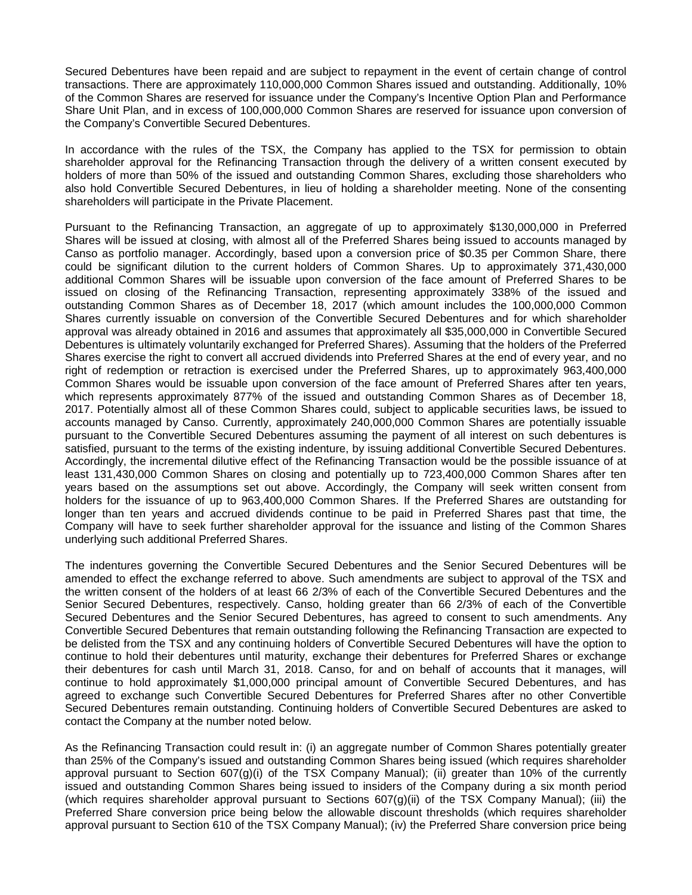Secured Debentures have been repaid and are subject to repayment in the event of certain change of control transactions. There are approximately 110,000,000 Common Shares issued and outstanding. Additionally, 10% of the Common Shares are reserved for issuance under the Company's Incentive Option Plan and Performance Share Unit Plan, and in excess of 100,000,000 Common Shares are reserved for issuance upon conversion of the Company's Convertible Secured Debentures.

In accordance with the rules of the TSX, the Company has applied to the TSX for permission to obtain shareholder approval for the Refinancing Transaction through the delivery of a written consent executed by holders of more than 50% of the issued and outstanding Common Shares, excluding those shareholders who also hold Convertible Secured Debentures, in lieu of holding a shareholder meeting. None of the consenting shareholders will participate in the Private Placement.

Pursuant to the Refinancing Transaction, an aggregate of up to approximately \$130,000,000 in Preferred Shares will be issued at closing, with almost all of the Preferred Shares being issued to accounts managed by Canso as portfolio manager. Accordingly, based upon a conversion price of \$0.35 per Common Share, there could be significant dilution to the current holders of Common Shares. Up to approximately 371,430,000 additional Common Shares will be issuable upon conversion of the face amount of Preferred Shares to be issued on closing of the Refinancing Transaction, representing approximately 338% of the issued and outstanding Common Shares as of December 18, 2017 (which amount includes the 100,000,000 Common Shares currently issuable on conversion of the Convertible Secured Debentures and for which shareholder approval was already obtained in 2016 and assumes that approximately all \$35,000,000 in Convertible Secured Debentures is ultimately voluntarily exchanged for Preferred Shares). Assuming that the holders of the Preferred Shares exercise the right to convert all accrued dividends into Preferred Shares at the end of every year, and no right of redemption or retraction is exercised under the Preferred Shares, up to approximately 963,400,000 Common Shares would be issuable upon conversion of the face amount of Preferred Shares after ten years, which represents approximately 877% of the issued and outstanding Common Shares as of December 18, 2017. Potentially almost all of these Common Shares could, subject to applicable securities laws, be issued to accounts managed by Canso. Currently, approximately 240,000,000 Common Shares are potentially issuable pursuant to the Convertible Secured Debentures assuming the payment of all interest on such debentures is satisfied, pursuant to the terms of the existing indenture, by issuing additional Convertible Secured Debentures. Accordingly, the incremental dilutive effect of the Refinancing Transaction would be the possible issuance of at least 131,430,000 Common Shares on closing and potentially up to 723,400,000 Common Shares after ten years based on the assumptions set out above. Accordingly, the Company will seek written consent from holders for the issuance of up to 963,400,000 Common Shares. If the Preferred Shares are outstanding for longer than ten years and accrued dividends continue to be paid in Preferred Shares past that time, the Company will have to seek further shareholder approval for the issuance and listing of the Common Shares underlying such additional Preferred Shares.

The indentures governing the Convertible Secured Debentures and the Senior Secured Debentures will be amended to effect the exchange referred to above. Such amendments are subject to approval of the TSX and the written consent of the holders of at least 66 2/3% of each of the Convertible Secured Debentures and the Senior Secured Debentures, respectively. Canso, holding greater than 66 2/3% of each of the Convertible Secured Debentures and the Senior Secured Debentures, has agreed to consent to such amendments. Any Convertible Secured Debentures that remain outstanding following the Refinancing Transaction are expected to be delisted from the TSX and any continuing holders of Convertible Secured Debentures will have the option to continue to hold their debentures until maturity, exchange their debentures for Preferred Shares or exchange their debentures for cash until March 31, 2018. Canso, for and on behalf of accounts that it manages, will continue to hold approximately \$1,000,000 principal amount of Convertible Secured Debentures, and has agreed to exchange such Convertible Secured Debentures for Preferred Shares after no other Convertible Secured Debentures remain outstanding. Continuing holders of Convertible Secured Debentures are asked to contact the Company at the number noted below.

As the Refinancing Transaction could result in: (i) an aggregate number of Common Shares potentially greater than 25% of the Company's issued and outstanding Common Shares being issued (which requires shareholder approval pursuant to Section  $607(g)(i)$  of the TSX Company Manual); (ii) greater than 10% of the currently issued and outstanding Common Shares being issued to insiders of the Company during a six month period (which requires shareholder approval pursuant to Sections  $607(q)(ii)$  of the TSX Company Manual); (iii) the Preferred Share conversion price being below the allowable discount thresholds (which requires shareholder approval pursuant to Section 610 of the TSX Company Manual); (iv) the Preferred Share conversion price being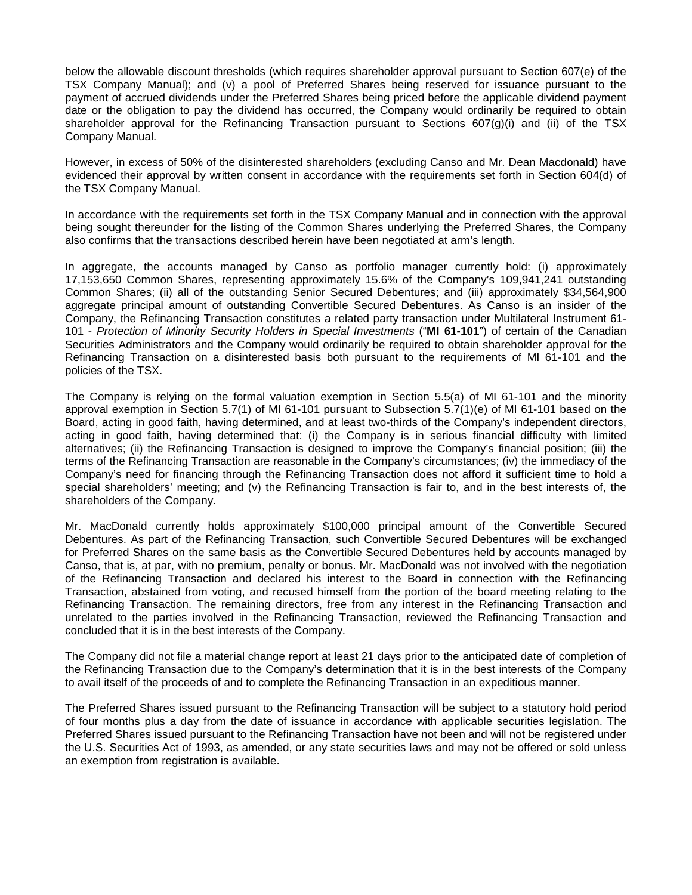below the allowable discount thresholds (which requires shareholder approval pursuant to Section 607(e) of the TSX Company Manual); and (v) a pool of Preferred Shares being reserved for issuance pursuant to the payment of accrued dividends under the Preferred Shares being priced before the applicable dividend payment date or the obligation to pay the dividend has occurred, the Company would ordinarily be required to obtain shareholder approval for the Refinancing Transaction pursuant to Sections 607(g)(i) and (ii) of the TSX Company Manual.

However, in excess of 50% of the disinterested shareholders (excluding Canso and Mr. Dean Macdonald) have evidenced their approval by written consent in accordance with the requirements set forth in Section 604(d) of the TSX Company Manual.

In accordance with the requirements set forth in the TSX Company Manual and in connection with the approval being sought thereunder for the listing of the Common Shares underlying the Preferred Shares, the Company also confirms that the transactions described herein have been negotiated at arm's length.

In aggregate, the accounts managed by Canso as portfolio manager currently hold: (i) approximately 17,153,650 Common Shares, representing approximately 15.6% of the Company's 109,941,241 outstanding Common Shares; (ii) all of the outstanding Senior Secured Debentures; and (iii) approximately \$34,564,900 aggregate principal amount of outstanding Convertible Secured Debentures. As Canso is an insider of the Company, the Refinancing Transaction constitutes a related party transaction under Multilateral Instrument 61- 101 - *Protection of Minority Security Holders in Special Investments* ("**MI 61-101**") of certain of the Canadian Securities Administrators and the Company would ordinarily be required to obtain shareholder approval for the Refinancing Transaction on a disinterested basis both pursuant to the requirements of MI 61-101 and the policies of the TSX.

The Company is relying on the formal valuation exemption in Section 5.5(a) of MI 61-101 and the minority approval exemption in Section 5.7(1) of MI 61-101 pursuant to Subsection 5.7(1)(e) of MI 61-101 based on the Board, acting in good faith, having determined, and at least two-thirds of the Company's independent directors, acting in good faith, having determined that: (i) the Company is in serious financial difficulty with limited alternatives; (ii) the Refinancing Transaction is designed to improve the Company's financial position; (iii) the terms of the Refinancing Transaction are reasonable in the Company's circumstances; (iv) the immediacy of the Company's need for financing through the Refinancing Transaction does not afford it sufficient time to hold a special shareholders' meeting; and (v) the Refinancing Transaction is fair to, and in the best interests of, the shareholders of the Company.

Mr. MacDonald currently holds approximately \$100,000 principal amount of the Convertible Secured Debentures. As part of the Refinancing Transaction, such Convertible Secured Debentures will be exchanged for Preferred Shares on the same basis as the Convertible Secured Debentures held by accounts managed by Canso, that is, at par, with no premium, penalty or bonus. Mr. MacDonald was not involved with the negotiation of the Refinancing Transaction and declared his interest to the Board in connection with the Refinancing Transaction, abstained from voting, and recused himself from the portion of the board meeting relating to the Refinancing Transaction. The remaining directors, free from any interest in the Refinancing Transaction and unrelated to the parties involved in the Refinancing Transaction, reviewed the Refinancing Transaction and concluded that it is in the best interests of the Company.

The Company did not file a material change report at least 21 days prior to the anticipated date of completion of the Refinancing Transaction due to the Company's determination that it is in the best interests of the Company to avail itself of the proceeds of and to complete the Refinancing Transaction in an expeditious manner.

The Preferred Shares issued pursuant to the Refinancing Transaction will be subject to a statutory hold period of four months plus a day from the date of issuance in accordance with applicable securities legislation. The Preferred Shares issued pursuant to the Refinancing Transaction have not been and will not be registered under the U.S. Securities Act of 1993, as amended, or any state securities laws and may not be offered or sold unless an exemption from registration is available.